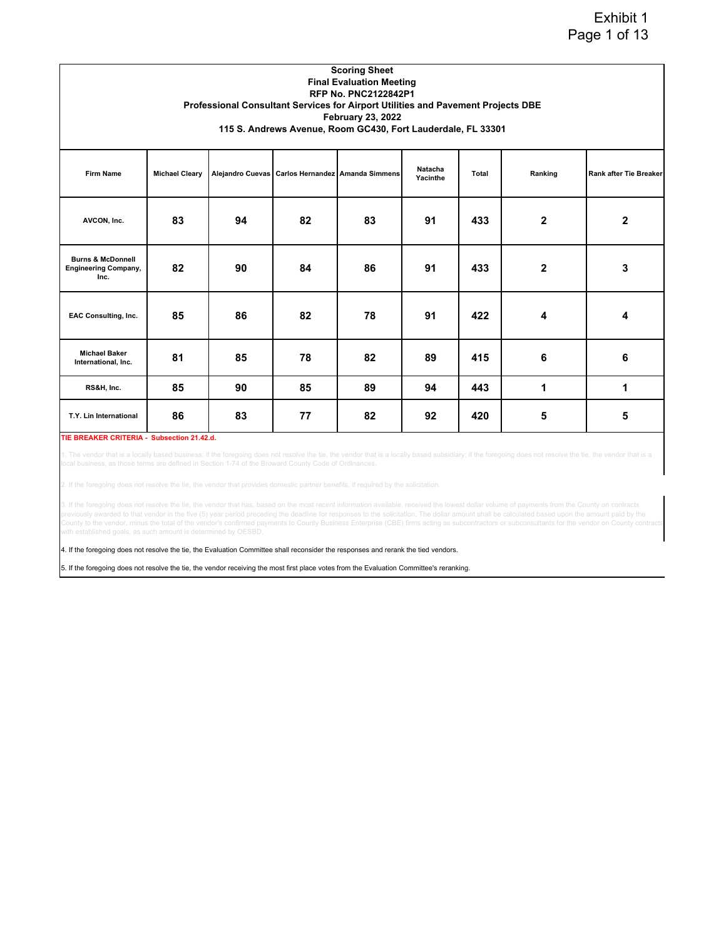|                                                                     |                       |    |    | <b>Scoring Sheet</b><br><b>Final Evaluation Meeting</b><br><b>RFP No. PNC2122842P1</b><br>Professional Consultant Services for Airport Utilities and Pavement Projects DBE |                     |       |              |                               |
|---------------------------------------------------------------------|-----------------------|----|----|----------------------------------------------------------------------------------------------------------------------------------------------------------------------------|---------------------|-------|--------------|-------------------------------|
|                                                                     |                       |    |    | <b>February 23, 2022</b><br>115 S. Andrews Avenue, Room GC430, Fort Lauderdale, FL 33301                                                                                   |                     |       |              |                               |
| <b>Firm Name</b>                                                    | <b>Michael Cleary</b> |    |    | Alejandro Cuevas   Carlos Hernandez   Amanda Simmens                                                                                                                       | Natacha<br>Yacinthe | Total | Ranking      | <b>Rank after Tie Breaker</b> |
| AVCON, Inc.                                                         | 83                    | 94 | 82 | 83                                                                                                                                                                         | 91                  | 433   | $\mathbf{2}$ | $\mathbf{2}$                  |
| <b>Burns &amp; McDonnell</b><br><b>Engineering Company,</b><br>Inc. | 82                    | 90 | 84 | 86                                                                                                                                                                         | 91                  | 433   | $\mathbf{2}$ | 3                             |
| <b>EAC Consulting, Inc.</b>                                         | 85                    | 86 | 82 | 78                                                                                                                                                                         | 91                  | 422   | 4            | 4                             |
| <b>Michael Baker</b><br>International, Inc.                         | 81                    | 85 | 78 | 82                                                                                                                                                                         | 89                  | 415   | 6            | 6                             |
| RS&H, Inc.                                                          | 85                    | 90 | 85 | 89                                                                                                                                                                         | 94                  | 443   | 1            | 1                             |
| T.Y. Lin International                                              | 86                    | 83 | 77 | 82                                                                                                                                                                         | 92                  | 420   | 5            | 5                             |

#### **TIE BREAKER CRITERIA - Subsection 21.42.d.**

1. The vendor that is a locally based business; if the foregoing does not resolve the tie, the wendor that is a locally based subsidiary; if the foregoing does not resolve the tie, the vendor that is a<br>local business, as t

2. If the foregoing does not resolve the tie, the vendor that provides domestic partner benefits, if required by the solicitation.

3. If the foregoing does not resolve the tie, the vendor that has, based on the most recent information available, received the lowest dollar volume of payments from the County on contracts<br>previously awarded to that vendo ounty to the vendor, minus the total of the vendor's confirmed payments to County Business Enterprise (CBE) firms acting as subcontractors or subconsultants for the vendor on County cont th established goals, as such amount is determined by OESBD.

4. If the foregoing does not resolve the tie, the Evaluation Committee shall reconsider the responses and rerank the tied vendors.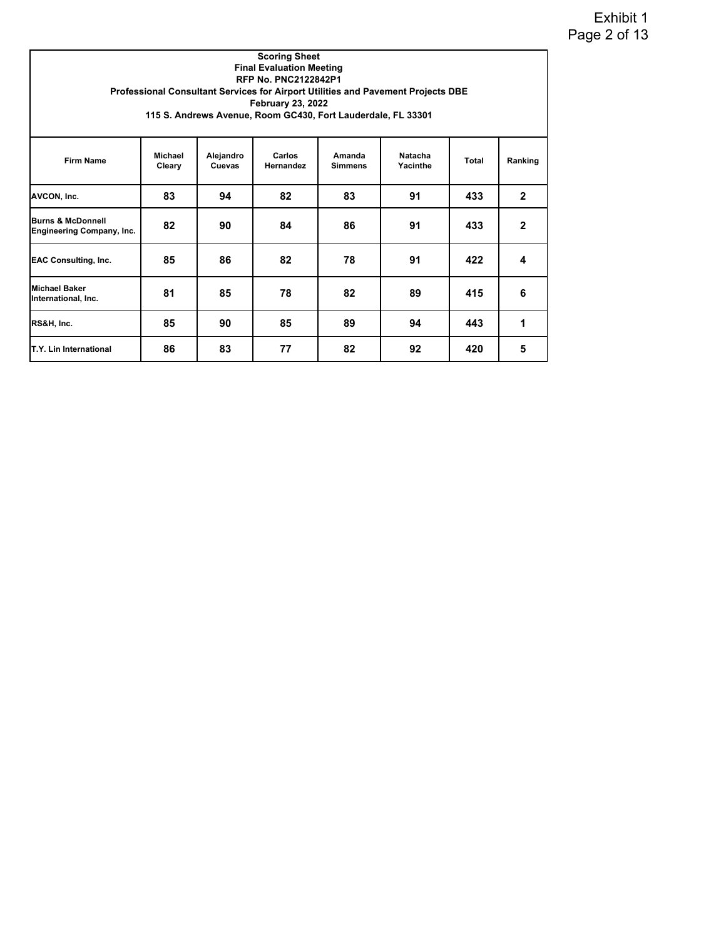| Exhibit 1    |  |
|--------------|--|
| Page 2 of 13 |  |

|                                                           | <b>Scoring Sheet</b><br><b>Final Evaluation Meeting</b><br><b>RFP No. PNC2122842P1</b><br>Professional Consultant Services for Airport Utilities and Pavement Projects DBE<br><b>February 23, 2022</b><br>115 S. Andrews Avenue, Room GC430, Fort Lauderdale, FL 33301 |                     |                     |                          |                     |       |              |  |  |
|-----------------------------------------------------------|------------------------------------------------------------------------------------------------------------------------------------------------------------------------------------------------------------------------------------------------------------------------|---------------------|---------------------|--------------------------|---------------------|-------|--------------|--|--|
| <b>Firm Name</b>                                          | <b>Michael</b><br>Cleary                                                                                                                                                                                                                                               | Alejandro<br>Cuevas | Carlos<br>Hernandez | Amanda<br><b>Simmens</b> | Natacha<br>Yacinthe | Total | Ranking      |  |  |
| AVCON, Inc.                                               | 83                                                                                                                                                                                                                                                                     | 94                  | 82                  | 83                       | 91                  | 433   | $\mathbf{2}$ |  |  |
| <b>Burns &amp; McDonnell</b><br>Engineering Company, Inc. | 82                                                                                                                                                                                                                                                                     | 90                  | 84                  | 86                       | 91                  | 433   | $\mathbf{2}$ |  |  |
| <b>EAC Consulting, Inc.</b>                               | 85                                                                                                                                                                                                                                                                     | 86                  | 82                  | 78                       | 91                  | 422   | 4            |  |  |
| <b>Michael Baker</b><br>International, Inc.               | 81                                                                                                                                                                                                                                                                     | 85                  | 78                  | 82                       | 89                  | 415   | 6            |  |  |
| RS&H, Inc.                                                | 85                                                                                                                                                                                                                                                                     | 90                  | 85                  | 89                       | 94                  | 443   | 1            |  |  |
| T.Y. Lin International                                    | 86                                                                                                                                                                                                                                                                     | 83                  | 77                  | 82                       | 92                  | 420   | 5            |  |  |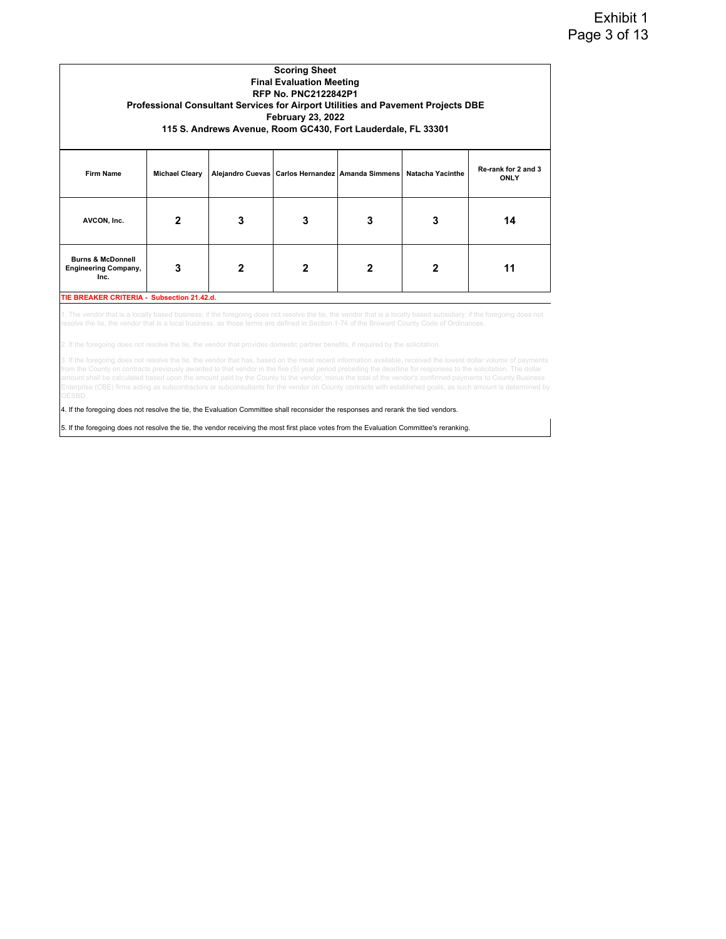| <b>Scoring Sheet</b><br><b>Final Evaluation Meeting</b><br><b>RFP No. PNC2122842P1</b><br>Professional Consultant Services for Airport Utilities and Pavement Projects DBE<br><b>February 23, 2022</b><br>115 S. Andrews Avenue, Room GC430, Fort Lauderdale, FL 33301 |              |                                            |   |                         |                                                      |  |  |  |  |
|------------------------------------------------------------------------------------------------------------------------------------------------------------------------------------------------------------------------------------------------------------------------|--------------|--------------------------------------------|---|-------------------------|------------------------------------------------------|--|--|--|--|
| <b>Michael Cleary</b>                                                                                                                                                                                                                                                  |              |                                            |   | <b>Natacha Yacinthe</b> | Re-rank for 2 and 3<br><b>ONLY</b>                   |  |  |  |  |
| 2                                                                                                                                                                                                                                                                      | 3            | 3                                          | 3 | 3                       | 14                                                   |  |  |  |  |
| 3                                                                                                                                                                                                                                                                      | $\mathbf{2}$ | 2                                          | 2 | 2                       | 11                                                   |  |  |  |  |
|                                                                                                                                                                                                                                                                        |              | TIE BREAKER CRITERIA - Subsection 21.42.d. |   |                         | Alejandro Cuevas   Carlos Hernandez   Amanda Simmens |  |  |  |  |

The vendor that is a locally based business; if the foregoing does not resolve the tie, the vendor that is a locally based subsidiary; if the foregoing does not re the tie, the vendor that is a local business, as those terms are defined in Section 1-74 of the Broward County Code of Ordinances.

3. If the foregoing does not resolve the tie, the vendor that has, based on the most recent information available, received the lowest dollar volume of payments from the County on contracts previously awarded to that vendor in the five (5) year period preceding the deadline for responses to the solicitation. The dollar amount shall be calculated based upon the amount paid by the County to the vendor, minus the total of the vendor's confirmed payments to County Business Enterprise (CBE) firms acting as subcontractors or subconsultants for the vendor on County contracts with established goals, as such amount is determined by

4. If the foregoing does not resolve the tie, the Evaluation Committee shall reconsider the responses and rerank the tied vendors.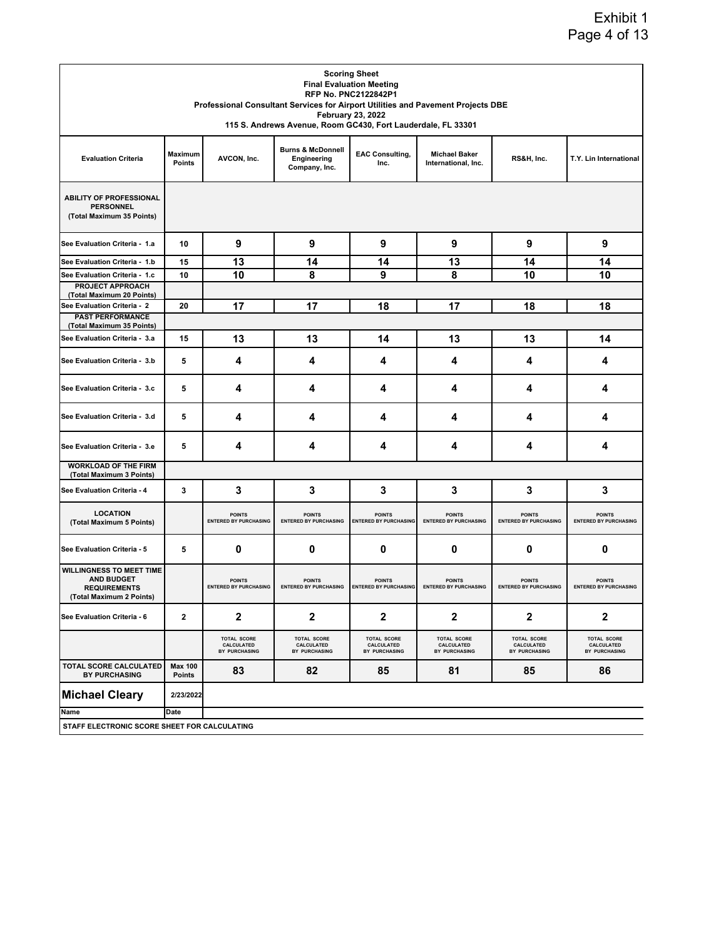# Exhibit 1 Page 4 of 13

|                                                                                                         | <b>Scoring Sheet</b><br><b>Final Evaluation Meeting</b><br>RFP No. PNC2122842P1<br>Professional Consultant Services for Airport Utilities and Pavement Projects DBE<br><b>February 23, 2022</b><br>115 S. Andrews Avenue, Room GC430, Fort Lauderdale, FL 33301 |                                                   |                                                              |                                                   |                                                   |                                                   |                                                   |  |  |
|---------------------------------------------------------------------------------------------------------|-----------------------------------------------------------------------------------------------------------------------------------------------------------------------------------------------------------------------------------------------------------------|---------------------------------------------------|--------------------------------------------------------------|---------------------------------------------------|---------------------------------------------------|---------------------------------------------------|---------------------------------------------------|--|--|
| <b>Evaluation Criteria</b>                                                                              | Maximum<br>Points                                                                                                                                                                                                                                               | AVCON, Inc.                                       | <b>Burns &amp; McDonnell</b><br>Engineering<br>Company, Inc. | <b>EAC Consulting,</b><br>Inc.                    | <b>Michael Baker</b><br>International, Inc.       | RS&H, Inc.                                        | T.Y. Lin International                            |  |  |
| <b>ABILITY OF PROFESSIONAL</b><br><b>PERSONNEL</b><br>(Total Maximum 35 Points)                         |                                                                                                                                                                                                                                                                 |                                                   |                                                              |                                                   |                                                   |                                                   |                                                   |  |  |
| See Evaluation Criteria - 1.a                                                                           | 10                                                                                                                                                                                                                                                              | 9                                                 | 9                                                            | 9                                                 | 9                                                 | 9                                                 | 9                                                 |  |  |
| See Evaluation Criteria - 1.b                                                                           | 15                                                                                                                                                                                                                                                              | 13                                                | 14                                                           | 14                                                | 13                                                | 14                                                | 14                                                |  |  |
| See Evaluation Criteria - 1.c                                                                           | 10                                                                                                                                                                                                                                                              | 10                                                | 8                                                            | 9                                                 | 8                                                 | 10                                                | 10                                                |  |  |
| <b>PROJECT APPROACH</b><br>(Total Maximum 20 Points)                                                    |                                                                                                                                                                                                                                                                 |                                                   |                                                              |                                                   |                                                   |                                                   |                                                   |  |  |
| See Evaluation Criteria - 2                                                                             | 20                                                                                                                                                                                                                                                              | 17                                                | 17                                                           | 18                                                | 17                                                | 18                                                | 18                                                |  |  |
| <b>PAST PERFORMANCE</b><br>(Total Maximum 35 Points)                                                    |                                                                                                                                                                                                                                                                 |                                                   |                                                              |                                                   |                                                   |                                                   |                                                   |  |  |
| See Evaluation Criteria - 3.a                                                                           | 15                                                                                                                                                                                                                                                              | 13                                                | 13                                                           | 14                                                | 13                                                | 13                                                | 14                                                |  |  |
| See Evaluation Criteria - 3.b                                                                           | 5                                                                                                                                                                                                                                                               | 4                                                 | 4                                                            | 4                                                 | 4                                                 | 4                                                 | 4                                                 |  |  |
| See Evaluation Criteria - 3.c                                                                           | 5                                                                                                                                                                                                                                                               | 4                                                 | 4                                                            | 4                                                 | 4                                                 | 4                                                 | 4                                                 |  |  |
| See Evaluation Criteria - 3.d                                                                           | 5                                                                                                                                                                                                                                                               | 4                                                 | 4                                                            | 4                                                 | 4                                                 | 4                                                 | 4                                                 |  |  |
| See Evaluation Criteria - 3.e                                                                           | 5                                                                                                                                                                                                                                                               | 4                                                 | 4                                                            | 4                                                 | 4                                                 | 4                                                 | 4                                                 |  |  |
| <b>WORKLOAD OF THE FIRM</b><br>(Total Maximum 3 Points)                                                 |                                                                                                                                                                                                                                                                 |                                                   |                                                              |                                                   |                                                   |                                                   |                                                   |  |  |
| See Evaluation Criteria - 4                                                                             | 3                                                                                                                                                                                                                                                               | 3                                                 | 3                                                            | 3                                                 | 3                                                 | 3                                                 | 3                                                 |  |  |
| <b>LOCATION</b><br>(Total Maximum 5 Points)                                                             |                                                                                                                                                                                                                                                                 | <b>POINTS</b><br><b>ENTERED BY PURCHASING</b>     | <b>POINTS</b><br><b>ENTERED BY PURCHASING</b>                | <b>POINTS</b><br><b>ENTERED BY PURCHASING</b>     | <b>POINTS</b><br><b>ENTERED BY PURCHASING</b>     | <b>POINTS</b><br><b>ENTERED BY PURCHASING</b>     | <b>POINTS</b><br><b>ENTERED BY PURCHASING</b>     |  |  |
| See Evaluation Criteria - 5                                                                             | 5                                                                                                                                                                                                                                                               | 0                                                 | 0                                                            | 0                                                 | 0                                                 | 0                                                 | 0                                                 |  |  |
| <b>WILLINGNESS TO MEET TIME</b><br><b>AND BUDGET</b><br><b>REQUIREMENTS</b><br>(Total Maximum 2 Points) |                                                                                                                                                                                                                                                                 | <b>POINTS</b><br><b>ENTERED BY PURCHASING</b>     | <b>POINTS</b><br><b>ENTERED BY PURCHASING</b>                | <b>POINTS</b><br><b>ENTERED BY PURCHASING</b>     | <b>POINTS</b><br><b>ENTERED BY PURCHASING</b>     | <b>POINTS</b><br><b>ENTERED BY PURCHASING</b>     | <b>POINTS</b><br><b>ENTERED BY PURCHASING</b>     |  |  |
| See Evaluation Criteria - 6                                                                             | 2                                                                                                                                                                                                                                                               | $\overline{\mathbf{2}}$                           | $\mathbf 2$                                                  | $\mathbf{2}$                                      | 2                                                 | $\mathbf{2}$                                      | 2                                                 |  |  |
|                                                                                                         |                                                                                                                                                                                                                                                                 | <b>TOTAL SCORE</b><br>CALCULATED<br>BY PURCHASING | <b>TOTAL SCORE</b><br>CALCULATED<br>BY PURCHASING            | <b>TOTAL SCORE</b><br>CALCULATED<br>BY PURCHASING | <b>TOTAL SCORE</b><br>CALCULATED<br>BY PURCHASING | <b>TOTAL SCORE</b><br>CALCULATED<br>BY PURCHASING | <b>TOTAL SCORE</b><br>CALCULATED<br>BY PURCHASING |  |  |
| TOTAL SCORE CALCULATED<br><b>BY PURCHASING</b>                                                          | <b>Max 100</b><br>Points                                                                                                                                                                                                                                        | 83                                                | 82                                                           | 85                                                | 81                                                | 85                                                | 86                                                |  |  |
| <b>Michael Cleary</b>                                                                                   | 2/23/2022                                                                                                                                                                                                                                                       |                                                   |                                                              |                                                   |                                                   |                                                   |                                                   |  |  |
| Name                                                                                                    | Date                                                                                                                                                                                                                                                            |                                                   |                                                              |                                                   |                                                   |                                                   |                                                   |  |  |
| STAFF ELECTRONIC SCORE SHEET FOR CALCULATING                                                            |                                                                                                                                                                                                                                                                 |                                                   |                                                              |                                                   |                                                   |                                                   |                                                   |  |  |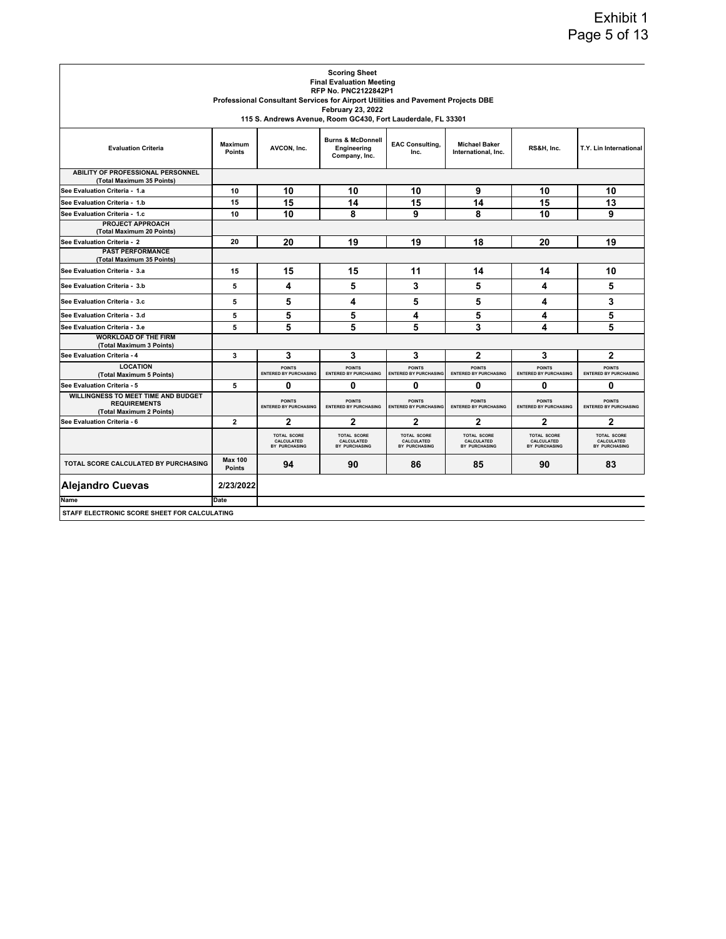|                                                                                        |                                 |                                                   | <b>Scoring Sheet</b><br><b>Final Evaluation Meeting</b>                                  |                                                   |                                                          |                                                   |                                                   |
|----------------------------------------------------------------------------------------|---------------------------------|---------------------------------------------------|------------------------------------------------------------------------------------------|---------------------------------------------------|----------------------------------------------------------|---------------------------------------------------|---------------------------------------------------|
|                                                                                        |                                 |                                                   | <b>RFP No. PNC2122842P1</b>                                                              |                                                   |                                                          |                                                   |                                                   |
|                                                                                        |                                 |                                                   | Professional Consultant Services for Airport Utilities and Pavement Projects DBE         |                                                   |                                                          |                                                   |                                                   |
|                                                                                        |                                 |                                                   | <b>February 23, 2022</b><br>115 S. Andrews Avenue, Room GC430, Fort Lauderdale, FL 33301 |                                                   |                                                          |                                                   |                                                   |
|                                                                                        |                                 |                                                   |                                                                                          |                                                   |                                                          |                                                   |                                                   |
| <b>Evaluation Criteria</b>                                                             | <b>Maximum</b><br><b>Points</b> | AVCON, Inc.                                       | <b>Burns &amp; McDonnell</b><br>Engineering<br>Company, Inc.                             | <b>EAC Consulting,</b><br>Inc.                    | <b>Michael Baker</b><br>International, Inc.              | RS&H, Inc.                                        | T.Y. Lin International                            |
| <b>ABILITY OF PROFESSIONAL PERSONNEL</b><br>(Total Maximum 35 Points)                  |                                 |                                                   |                                                                                          |                                                   |                                                          |                                                   |                                                   |
| See Evaluation Criteria - 1.a                                                          | 10                              | 10                                                | 10                                                                                       | 10                                                | 9                                                        | 10                                                | 10                                                |
| See Evaluation Criteria - 1.b                                                          | 15                              | 15                                                | 14                                                                                       | 15                                                | 14                                                       | 15                                                | 13                                                |
| See Evaluation Criteria - 1.c                                                          | 10                              | 10                                                | 8                                                                                        | 9                                                 | 8                                                        | 10                                                | 9                                                 |
| PROJECT APPROACH<br>(Total Maximum 20 Points)                                          |                                 |                                                   |                                                                                          |                                                   |                                                          |                                                   |                                                   |
| See Evaluation Criteria - 2                                                            | 20                              | 20                                                | 19                                                                                       | 19                                                | 18                                                       | 20                                                | 19                                                |
| <b>PAST PERFORMANCE</b><br>(Total Maximum 35 Points)                                   |                                 |                                                   |                                                                                          |                                                   |                                                          |                                                   |                                                   |
| See Evaluation Criteria - 3.a                                                          | 15                              | 15                                                | 15                                                                                       | 11                                                | 14                                                       | 14                                                | 10                                                |
| See Evaluation Criteria - 3.b                                                          | 5                               | 4                                                 | 5                                                                                        | 3                                                 | 5                                                        | 4                                                 | 5                                                 |
| See Evaluation Criteria - 3.c                                                          | 5                               | 5                                                 | 4                                                                                        | 5                                                 | 5                                                        | 4                                                 | 3                                                 |
| See Evaluation Criteria - 3.d                                                          | 5                               | 5                                                 | 5                                                                                        | 4                                                 | 5                                                        | 4                                                 | 5                                                 |
| See Evaluation Criteria - 3.e                                                          | 5                               | 5                                                 | 5                                                                                        | 5                                                 | 3                                                        | 4                                                 | 5                                                 |
| <b>WORKLOAD OF THE FIRM</b><br>(Total Maximum 3 Points)                                |                                 |                                                   |                                                                                          |                                                   |                                                          |                                                   |                                                   |
| See Evaluation Criteria - 4                                                            | 3                               | 3                                                 | 3                                                                                        | 3                                                 | $\mathbf{2}$                                             | 3                                                 | 2                                                 |
| <b>LOCATION</b><br>(Total Maximum 5 Points)                                            |                                 | <b>POINTS</b><br><b>ENTERED BY PURCHASING</b>     | <b>POINTS</b><br><b>ENTERED BY PURCHASING</b>                                            | <b>POINTS</b><br><b>ENTERED BY PURCHASING</b>     | <b>POINTS</b><br><b>ENTERED BY PURCHASING</b>            | <b>POINTS</b><br><b>ENTERED BY PURCHASING</b>     | <b>POINTS</b><br><b>ENTERED BY PURCHASING</b>     |
| See Evaluation Criteria - 5                                                            | 5                               | 0                                                 | 0                                                                                        | 0                                                 | 0                                                        | 0                                                 | 0                                                 |
| WILLINGNESS TO MEET TIME AND BUDGET<br><b>REQUIREMENTS</b><br>(Total Maximum 2 Points) |                                 | <b>POINTS</b><br><b>ENTERED BY PURCHASING</b>     | <b>POINTS</b><br><b>ENTERED BY PURCHASING</b>                                            | <b>POINTS</b><br><b>ENTERED BY PURCHASING</b>     | <b>POINTS</b><br><b>ENTERED BY PURCHASING</b>            | <b>POINTS</b><br><b>ENTERED BY PURCHASING</b>     | <b>POINTS</b><br><b>ENTERED BY PURCHASING</b>     |
| See Evaluation Criteria - 6                                                            | 2                               | $\mathbf{2}$                                      | $\overline{2}$                                                                           | $\mathbf{2}$                                      | 2                                                        | 2                                                 | 2                                                 |
|                                                                                        |                                 | <b>TOTAL SCORE</b><br>CALCULATED<br>BY PURCHASING | <b>TOTAL SCORE</b><br>CALCULATED<br>BY PURCHASING                                        | <b>TOTAL SCORE</b><br>CALCULATED<br>BY PURCHASING | <b>TOTAL SCORE</b><br><b>CALCULATED</b><br>BY PURCHASING | <b>TOTAL SCORE</b><br>CALCULATED<br>BY PURCHASING | <b>TOTAL SCORE</b><br>CALCULATED<br>BY PURCHASING |
| TOTAL SCORE CALCULATED BY PURCHASING                                                   | <b>Max 100</b><br><b>Points</b> | 94                                                | 90                                                                                       | 86                                                | 85                                                       | 90                                                | 83                                                |
| <b>Alejandro Cuevas</b>                                                                | 2/23/2022                       |                                                   |                                                                                          |                                                   |                                                          |                                                   |                                                   |
| Name                                                                                   | Date                            |                                                   |                                                                                          |                                                   |                                                          |                                                   |                                                   |
| STAFF ELECTRONIC SCORE SHEET FOR CALCULATING                                           |                                 |                                                   |                                                                                          |                                                   |                                                          |                                                   |                                                   |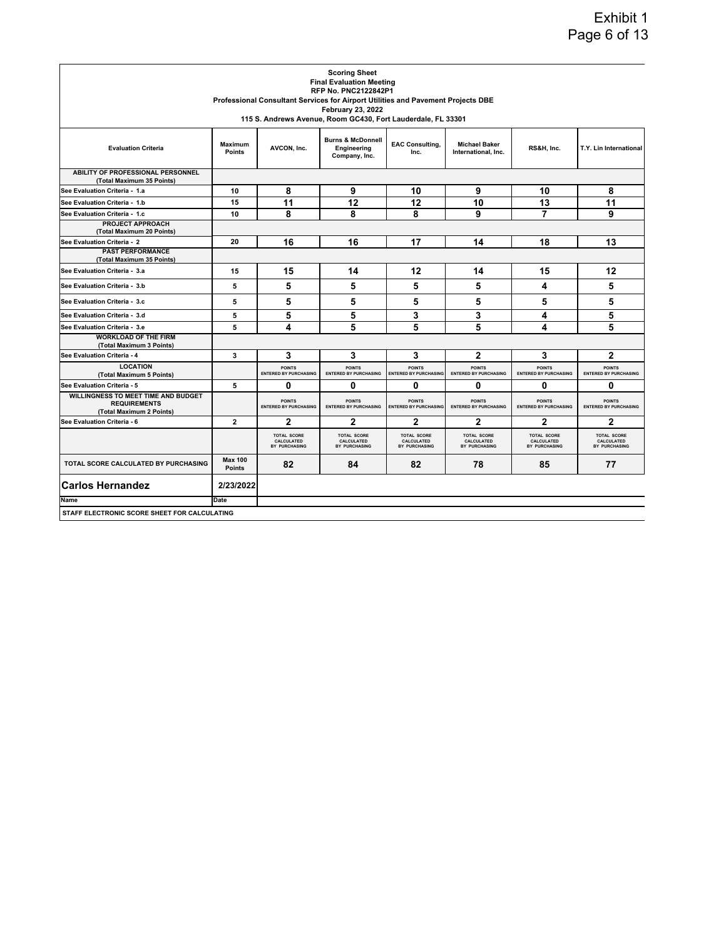|                                                                                        |                          |                                                   | <b>Scoring Sheet</b><br><b>Final Evaluation Meeting</b>                                                                                     |                                                   |                                                   |                                                   |                                                   |
|----------------------------------------------------------------------------------------|--------------------------|---------------------------------------------------|---------------------------------------------------------------------------------------------------------------------------------------------|---------------------------------------------------|---------------------------------------------------|---------------------------------------------------|---------------------------------------------------|
|                                                                                        |                          |                                                   | <b>RFP No. PNC2122842P1</b><br>Professional Consultant Services for Airport Utilities and Pavement Projects DBE<br><b>February 23, 2022</b> |                                                   |                                                   |                                                   |                                                   |
|                                                                                        |                          |                                                   | 115 S. Andrews Avenue, Room GC430, Fort Lauderdale, FL 33301                                                                                |                                                   |                                                   |                                                   |                                                   |
| <b>Evaluation Criteria</b>                                                             | Maximum<br><b>Points</b> | AVCON, Inc.                                       | <b>Burns &amp; McDonnell</b><br>Engineering<br>Company, Inc.                                                                                | <b>EAC Consulting,</b><br>Inc.                    | <b>Michael Baker</b><br>International, Inc.       | RS&H, Inc.                                        | T.Y. Lin International                            |
| ABILITY OF PROFESSIONAL PERSONNEL<br>(Total Maximum 35 Points)                         |                          |                                                   |                                                                                                                                             |                                                   |                                                   |                                                   |                                                   |
| See Evaluation Criteria - 1.a                                                          | 10                       | 8                                                 | 9                                                                                                                                           | 10                                                | 9                                                 | 10                                                | 8                                                 |
| See Evaluation Criteria - 1.b                                                          | 15                       | 11                                                | 12                                                                                                                                          | 12                                                | 10                                                | 13                                                | 11                                                |
| See Evaluation Criteria - 1.c                                                          | 10                       | 8                                                 | 8                                                                                                                                           | 8                                                 | 9                                                 | 7                                                 | 9                                                 |
| PROJECT APPROACH<br>(Total Maximum 20 Points)                                          |                          |                                                   |                                                                                                                                             |                                                   |                                                   |                                                   |                                                   |
| See Evaluation Criteria - 2                                                            | 20                       | 16                                                | 16                                                                                                                                          | 17                                                | 14                                                | 18                                                | 13                                                |
| <b>PAST PERFORMANCE</b><br>(Total Maximum 35 Points)                                   |                          |                                                   |                                                                                                                                             |                                                   |                                                   |                                                   |                                                   |
| See Evaluation Criteria - 3.a                                                          | 15                       | 15                                                | 14                                                                                                                                          | 12                                                | 14                                                | 15                                                | 12                                                |
| See Evaluation Criteria - 3.b                                                          | 5                        | 5                                                 | 5                                                                                                                                           | 5                                                 | 5                                                 | 4                                                 | 5                                                 |
| See Evaluation Criteria - 3.c                                                          | 5                        | 5                                                 | 5                                                                                                                                           | 5                                                 | 5                                                 | 5                                                 | 5                                                 |
| See Evaluation Criteria - 3.d                                                          | 5                        | 5                                                 | 5                                                                                                                                           | 3                                                 | 3                                                 | 4                                                 | 5                                                 |
| See Evaluation Criteria - 3.e                                                          | 5                        | 4                                                 | 5                                                                                                                                           | 5                                                 | 5                                                 | 4                                                 | 5                                                 |
| <b>WORKLOAD OF THE FIRM</b><br>(Total Maximum 3 Points)                                |                          |                                                   |                                                                                                                                             |                                                   |                                                   |                                                   |                                                   |
| See Evaluation Criteria - 4                                                            | 3                        | 3                                                 | 3                                                                                                                                           | 3                                                 | 2                                                 | 3                                                 | $\mathbf{2}$                                      |
| <b>LOCATION</b><br>(Total Maximum 5 Points)                                            |                          | <b>POINTS</b><br><b>ENTERED BY PURCHASING</b>     | <b>POINTS</b><br><b>ENTERED BY PURCHASING</b>                                                                                               | <b>POINTS</b><br><b>ENTERED BY PURCHASING</b>     | <b>POINTS</b><br><b>ENTERED BY PURCHASING</b>     | <b>POINTS</b><br><b>ENTERED BY PURCHASING</b>     | <b>POINTS</b><br><b>ENTERED BY PURCHASING</b>     |
| See Evaluation Criteria - 5                                                            | 5                        | 0                                                 | 0                                                                                                                                           | 0                                                 | 0                                                 | 0                                                 | 0                                                 |
| WILLINGNESS TO MEET TIME AND BUDGET<br><b>REQUIREMENTS</b><br>(Total Maximum 2 Points) |                          | <b>POINTS</b><br><b>ENTERED BY PURCHASING</b>     | <b>POINTS</b><br><b>ENTERED BY PURCHASING</b>                                                                                               | <b>POINTS</b><br><b>ENTERED BY PURCHASING</b>     | <b>POINTS</b><br><b>ENTERED BY PURCHASING</b>     | <b>POINTS</b><br><b>ENTERED BY PURCHASING</b>     | <b>POINTS</b><br><b>ENTERED BY PURCHASING</b>     |
| See Evaluation Criteria - 6                                                            | $\overline{2}$           | $\mathbf{2}$                                      | 2                                                                                                                                           | $\mathbf{2}$                                      | 2                                                 | 2                                                 | $\mathbf{2}$                                      |
|                                                                                        |                          | <b>TOTAL SCORE</b><br>CALCULATED<br>BY PURCHASING | <b>TOTAL SCORE</b><br>CALCULATED<br>BY PURCHASING                                                                                           | <b>TOTAL SCORE</b><br>CALCULATED<br>BY PURCHASING | <b>TOTAL SCORE</b><br>CALCULATED<br>BY PURCHASING | <b>TOTAL SCORE</b><br>CALCULATED<br>BY PURCHASING | <b>TOTAL SCORE</b><br>CALCULATED<br>BY PURCHASING |
| TOTAL SCORE CALCULATED BY PURCHASING                                                   | <b>Max 100</b><br>Points | 82                                                | 84                                                                                                                                          | 82                                                | 78                                                | 85                                                | 77                                                |
| <b>Carlos Hernandez</b>                                                                | 2/23/2022                |                                                   |                                                                                                                                             |                                                   |                                                   |                                                   |                                                   |
| Name                                                                                   | Date                     |                                                   |                                                                                                                                             |                                                   |                                                   |                                                   |                                                   |
| STAFF ELECTRONIC SCORE SHEET FOR CALCULATING                                           |                          |                                                   |                                                                                                                                             |                                                   |                                                   |                                                   |                                                   |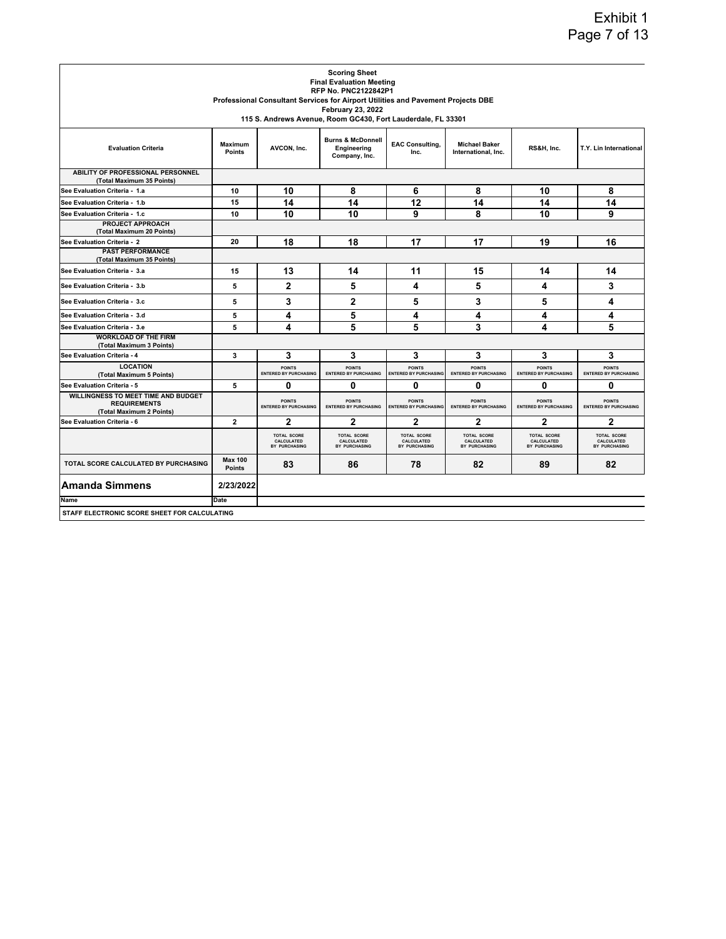|                                                                                               |                                 |                                                   | <b>Scoring Sheet</b><br><b>Final Evaluation Meeting</b>                          |                                                   |                                                   |                                                   |                                                   |
|-----------------------------------------------------------------------------------------------|---------------------------------|---------------------------------------------------|----------------------------------------------------------------------------------|---------------------------------------------------|---------------------------------------------------|---------------------------------------------------|---------------------------------------------------|
|                                                                                               |                                 |                                                   | <b>RFP No. PNC2122842P1</b>                                                      |                                                   |                                                   |                                                   |                                                   |
|                                                                                               |                                 |                                                   | Professional Consultant Services for Airport Utilities and Pavement Projects DBE |                                                   |                                                   |                                                   |                                                   |
|                                                                                               |                                 |                                                   | <b>February 23, 2022</b>                                                         |                                                   |                                                   |                                                   |                                                   |
|                                                                                               |                                 |                                                   | 115 S. Andrews Avenue, Room GC430, Fort Lauderdale, FL 33301                     |                                                   |                                                   |                                                   |                                                   |
| <b>Evaluation Criteria</b>                                                                    | <b>Maximum</b><br><b>Points</b> | AVCON, Inc.                                       | <b>Burns &amp; McDonnell</b><br>Engineering<br>Company, Inc.                     | <b>EAC Consulting,</b><br>Inc.                    | <b>Michael Baker</b><br>International, Inc.       | RS&H, Inc.                                        | T.Y. Lin International                            |
| <b>ABILITY OF PROFESSIONAL PERSONNEL</b><br>(Total Maximum 35 Points)                         |                                 |                                                   |                                                                                  |                                                   |                                                   |                                                   |                                                   |
| See Evaluation Criteria - 1.a                                                                 | 10                              | 10                                                | 8                                                                                | 6                                                 | 8                                                 | 10                                                | 8                                                 |
| See Evaluation Criteria - 1.b                                                                 | 15                              | 14                                                | 14                                                                               | 12                                                | 14                                                | 14                                                | 14                                                |
| See Evaluation Criteria - 1.c                                                                 | 10                              | 10                                                | 10                                                                               | 9                                                 | 8                                                 | 10                                                | 9                                                 |
| <b>PROJECT APPROACH</b><br>(Total Maximum 20 Points)                                          |                                 |                                                   |                                                                                  |                                                   |                                                   |                                                   |                                                   |
| See Evaluation Criteria - 2                                                                   | 20                              | 18                                                | 18                                                                               | 17                                                | 17                                                | 19                                                | 16                                                |
| <b>PAST PERFORMANCE</b><br>(Total Maximum 35 Points)                                          |                                 |                                                   |                                                                                  |                                                   |                                                   |                                                   |                                                   |
| See Evaluation Criteria - 3.a                                                                 | 15                              | 13                                                | 14                                                                               | 11                                                | 15                                                | 14                                                | 14                                                |
| See Evaluation Criteria - 3.b                                                                 | 5                               | 2                                                 | 5                                                                                | 4                                                 | 5                                                 | 4                                                 | 3                                                 |
| See Evaluation Criteria - 3.c                                                                 | 5                               | 3                                                 | 2                                                                                | 5                                                 | 3                                                 | 5                                                 | 4                                                 |
| See Evaluation Criteria - 3.d                                                                 | 5                               | 4                                                 | 5                                                                                | 4                                                 | 4                                                 | 4                                                 | 4                                                 |
| See Evaluation Criteria - 3.e                                                                 | 5                               | 4                                                 | 5                                                                                | 5                                                 | 3                                                 | 4                                                 | 5                                                 |
| <b>WORKLOAD OF THE FIRM</b><br>(Total Maximum 3 Points)                                       |                                 |                                                   |                                                                                  |                                                   |                                                   |                                                   |                                                   |
| See Evaluation Criteria - 4                                                                   | 3                               | 3                                                 | 3                                                                                | 3                                                 | 3                                                 | 3                                                 | 3                                                 |
| <b>LOCATION</b><br>(Total Maximum 5 Points)                                                   |                                 | <b>POINTS</b><br><b>ENTERED BY PURCHASING</b>     | <b>POINTS</b><br><b>ENTERED BY PURCHASING</b>                                    | <b>POINTS</b><br><b>ENTERED BY PURCHASING</b>     | <b>POINTS</b><br><b>ENTERED BY PURCHASING</b>     | <b>POINTS</b><br><b>ENTERED BY PURCHASING</b>     | <b>POINTS</b><br><b>ENTERED BY PURCHASING</b>     |
| See Evaluation Criteria - 5                                                                   | 5                               | 0                                                 | $\mathbf{0}$                                                                     | 0                                                 | 0                                                 | 0                                                 | 0                                                 |
| <b>WILLINGNESS TO MEET TIME AND BUDGET</b><br><b>REQUIREMENTS</b><br>(Total Maximum 2 Points) |                                 | <b>POINTS</b><br><b>ENTERED BY PURCHASING</b>     | <b>POINTS</b><br><b>ENTERED BY PURCHASING</b>                                    | <b>POINTS</b><br><b>ENTERED BY PURCHASING</b>     | <b>POINTS</b><br><b>ENTERED BY PURCHASING</b>     | <b>POINTS</b><br><b>ENTERED BY PURCHASING</b>     | <b>POINTS</b><br><b>ENTERED BY PURCHASING</b>     |
| See Evaluation Criteria - 6                                                                   | $\overline{2}$                  | $\overline{2}$                                    | $\mathbf{2}$                                                                     | $\mathbf{2}$                                      | $\mathbf{2}$                                      | $\mathbf{2}$                                      | $\overline{2}$                                    |
|                                                                                               |                                 | <b>TOTAL SCORE</b><br>CALCULATED<br>BY PURCHASING | <b>TOTAL SCORE</b><br>CALCULATED<br>BY PURCHASING                                | <b>TOTAL SCORE</b><br>CALCULATED<br>BY PURCHASING | <b>TOTAL SCORE</b><br>CALCULATED<br>BY PURCHASING | <b>TOTAL SCORE</b><br>CALCULATED<br>BY PURCHASING | <b>TOTAL SCORE</b><br>CALCULATED<br>BY PURCHASING |
| TOTAL SCORE CALCULATED BY PURCHASING                                                          | <b>Max 100</b><br><b>Points</b> | 83                                                | 86                                                                               | 78                                                | 82                                                | 89                                                | 82                                                |
| <b>Amanda Simmens</b>                                                                         | 2/23/2022                       |                                                   |                                                                                  |                                                   |                                                   |                                                   |                                                   |
| Name                                                                                          | Date                            |                                                   |                                                                                  |                                                   |                                                   |                                                   |                                                   |
| STAFF ELECTRONIC SCORE SHEET FOR CALCULATING                                                  |                                 |                                                   |                                                                                  |                                                   |                                                   |                                                   |                                                   |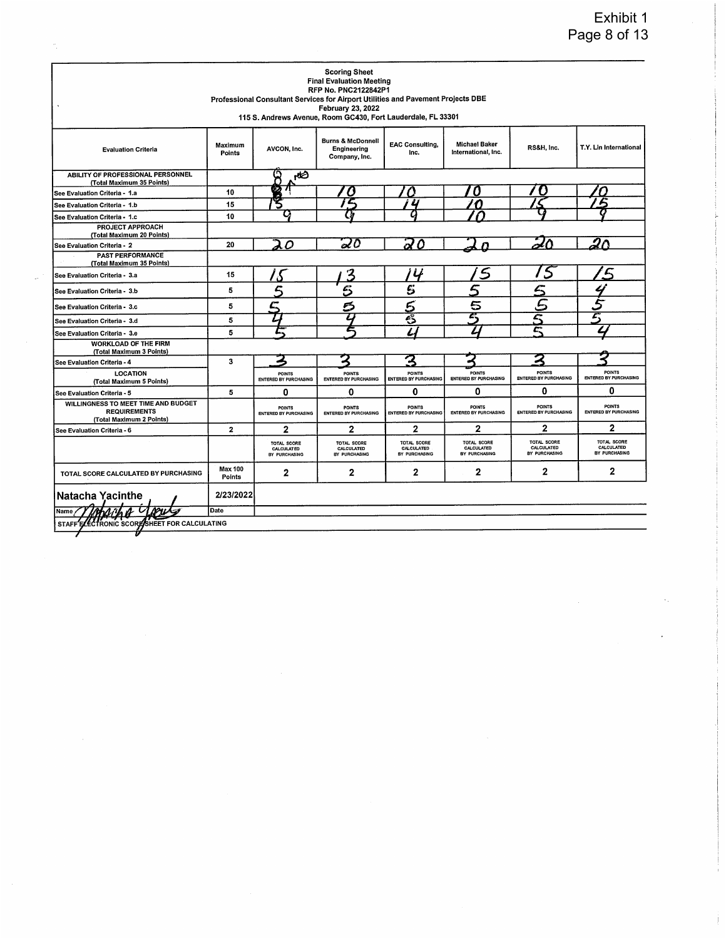| $\mathbf{v}$                                                                           |                   |                                            | <b>Scoring Sheet</b><br><b>Final Evaluation Meeting</b><br>RFP No. PNC2122842P1<br>Professional Consultant Services for Airport Utilities and Pavement Projects DBE<br>February 23, 2022<br>115 S. Andrews Avenue, Room GC430, Fort Lauderdale, FL 33301 |                                                   |                                                   |                                            |                                            |
|----------------------------------------------------------------------------------------|-------------------|--------------------------------------------|----------------------------------------------------------------------------------------------------------------------------------------------------------------------------------------------------------------------------------------------------------|---------------------------------------------------|---------------------------------------------------|--------------------------------------------|--------------------------------------------|
| <b>Evaluation Criteria</b>                                                             | Maximum<br>Points | AVCON, Inc.                                | <b>Burns &amp; McDonnell</b><br>Engineering<br>Company, Inc.                                                                                                                                                                                             | <b>EAC Consulting,</b><br>Inc.                    | <b>Michael Baker</b><br>International, Inc.       | RS&H, Inc.                                 | T.Y. Lin International                     |
| ABILITY OF PROFESSIONAL PERSONNEL<br>(Total Maximum 35 Points)                         |                   | ضام                                        |                                                                                                                                                                                                                                                          |                                                   |                                                   |                                            |                                            |
| See Evaluation Criteria - 1.a                                                          | 10                | i2                                         |                                                                                                                                                                                                                                                          |                                                   | U                                                 | Г.                                         |                                            |
| See Evaluation Criteria - 1.b                                                          | 15                |                                            |                                                                                                                                                                                                                                                          |                                                   | n                                                 |                                            |                                            |
| See Evaluation Criteria - 1.c                                                          | 10                |                                            |                                                                                                                                                                                                                                                          |                                                   |                                                   |                                            |                                            |
| PROJECT APPROACH<br>(Total Maximum 20 Points)                                          |                   |                                            |                                                                                                                                                                                                                                                          |                                                   |                                                   |                                            |                                            |
| See Evaluation Criteria - 2                                                            | 20                | Ω                                          | 20                                                                                                                                                                                                                                                       | 20                                                |                                                   |                                            | $\overline{2}\cap$                         |
| <b>PAST PERFORMANCE</b><br>(Total Maximum 35 Points)                                   |                   |                                            |                                                                                                                                                                                                                                                          |                                                   |                                                   |                                            |                                            |
| See Evaluation Criteria - 3.a                                                          | 15                |                                            | 3                                                                                                                                                                                                                                                        | 4                                                 | 5                                                 |                                            |                                            |
| See Evaluation Criteria - 3.b                                                          | 5                 |                                            | 5                                                                                                                                                                                                                                                        | $\mathbf{c}$                                      |                                                   |                                            |                                            |
| See Evaluation Criteria - 3.c                                                          | 5                 |                                            | త                                                                                                                                                                                                                                                        | 5                                                 | 5                                                 |                                            |                                            |
| See Evaluation Criteria - 3.d                                                          | 5                 |                                            |                                                                                                                                                                                                                                                          | తె                                                | с,                                                | $\overline{\mathcal{L}}$                   | T.                                         |
| See Evaluation Criteria - 3.e                                                          | 5                 |                                            |                                                                                                                                                                                                                                                          |                                                   |                                                   |                                            |                                            |
| <b>WORKLOAD OF THE FIRM</b><br>(Total Maximum 3 Points)                                |                   |                                            |                                                                                                                                                                                                                                                          |                                                   |                                                   |                                            |                                            |
| See Evaluation Criteria - 4                                                            | 3                 |                                            |                                                                                                                                                                                                                                                          | つ                                                 |                                                   | 2                                          |                                            |
| <b>LOCATION</b><br>(Total Maximum 5 Points)                                            |                   | POINTS<br>ENTERED BY PURCHASING            | POINTS<br><b>ENTERED BY PURCHASING</b>                                                                                                                                                                                                                   | <b>POINTS</b><br><b>ENTERED BY PURCHASING</b>     | <b>POINTS</b><br>ENTERED BY PURCHASING            | POINTS<br>ENTERED BY PURCHASING            | POINTS<br><b>ENTERED BY PURCHASING</b>     |
| See Evaluation Criteria - 5                                                            | 5                 | 0                                          | 0                                                                                                                                                                                                                                                        | 0                                                 | 0                                                 | 0                                          | 0                                          |
| WILLINGNESS TO MEET TIME AND BUDGET<br><b>REQUIREMENTS</b><br>(Total Maximum 2 Points) |                   | POINTS<br><b>ENTERED BY PURCHASING</b>     | <b>POINTS</b><br><b>ENTERED BY PURCHASING</b>                                                                                                                                                                                                            | <b>POINTS</b><br>ENTERED BY PURCHASING            | <b>POINTS</b><br>ENTERED BY PURCHASING            | POINTS<br><b>ENTERED BY PURCHASING</b>     | POINTS<br><b>ENTERED BY PURCHASING</b>     |
| See Evaluation Criteria - 6                                                            | $\mathbf{2}$      | $\overline{2}$                             | $\mathbf{2}$                                                                                                                                                                                                                                             | $\mathbf{2}$                                      | $\mathbf{2}$                                      | $\mathbf{z}$                               | 2                                          |
|                                                                                        |                   | TOTAL SCORE<br>CALCULATED<br>BY PURCHASING | TOTAL SCORE<br>CALCULATED<br>BY PURCHASING                                                                                                                                                                                                               | <b>TOTAL SCORE</b><br>CALCULATED<br>BY PURCHASING | <b>TOTAL SCORE</b><br>CALCULATED<br>BY PURCHASING | TOTAL SCORE<br>CALCULATED<br>BY PURCHASING | TOTAL SCORE<br>CALCULATED<br>BY PURCHASING |
| TOTAL SCORE CALCULATED BY PURCHASING                                                   | Max 100<br>Points | 2                                          | $\mathbf{2}$                                                                                                                                                                                                                                             | $\mathbf{2}$                                      | $\mathbf 2$                                       | 2                                          | 2                                          |
| Natacha Yacinthe                                                                       | 2/23/2022         |                                            |                                                                                                                                                                                                                                                          |                                                   |                                                   |                                            |                                            |
| Name<br>STAFF ELECTRONIC SCORESHEET FOR CALCULATING                                    | Date              |                                            |                                                                                                                                                                                                                                                          |                                                   |                                                   |                                            |                                            |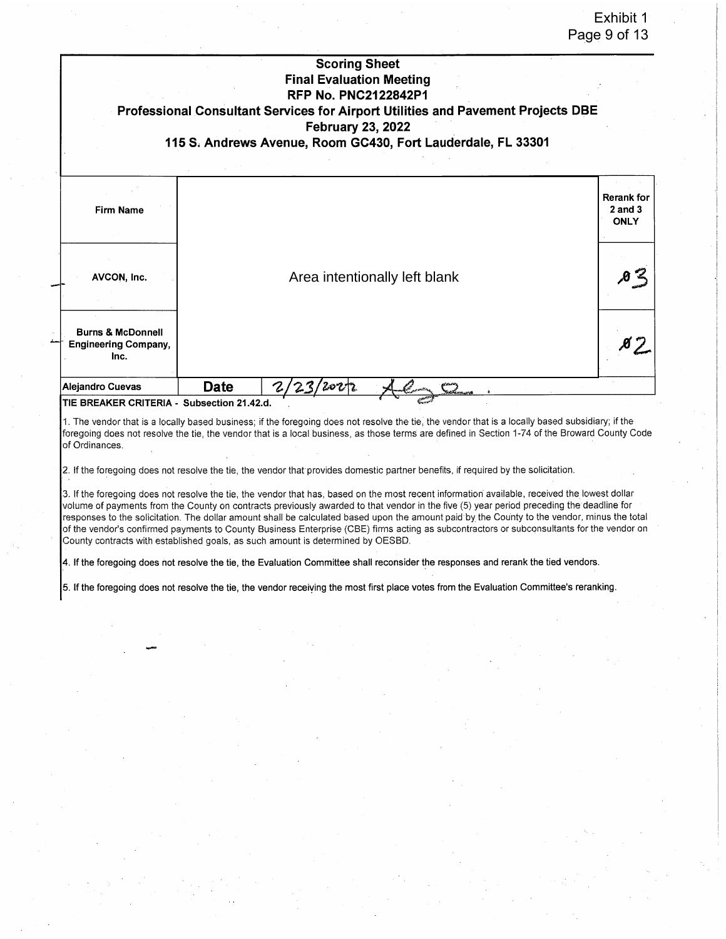# Exhibit 1 Page 9 of 13

|                                                                                  |             | <b>Scoring Sheet</b><br><b>Final Evaluation Meeting</b><br><b>RFP No. PNC2122842P1</b><br>Professional Consultant Services for Airport Utilities and Pavement Projects DBE<br><b>February 23, 2022</b><br>115 S. Andrews Avenue, Room GC430, Fort Lauderdale, FL 33301                                                                                                                                                                                                                                                                                                                                                                                                                                                                                                                                          |                                                 |
|----------------------------------------------------------------------------------|-------------|-----------------------------------------------------------------------------------------------------------------------------------------------------------------------------------------------------------------------------------------------------------------------------------------------------------------------------------------------------------------------------------------------------------------------------------------------------------------------------------------------------------------------------------------------------------------------------------------------------------------------------------------------------------------------------------------------------------------------------------------------------------------------------------------------------------------|-------------------------------------------------|
| <b>Firm Name</b>                                                                 |             |                                                                                                                                                                                                                                                                                                                                                                                                                                                                                                                                                                                                                                                                                                                                                                                                                 | <b>Rerank for</b><br>$2$ and $3$<br><b>ONLY</b> |
| AVCON, Inc.                                                                      |             | Area intentionally left blank                                                                                                                                                                                                                                                                                                                                                                                                                                                                                                                                                                                                                                                                                                                                                                                   |                                                 |
| <b>Burns &amp; McDonnell</b><br><b>Engineering Company,</b><br>Inc.              |             |                                                                                                                                                                                                                                                                                                                                                                                                                                                                                                                                                                                                                                                                                                                                                                                                                 |                                                 |
| Alejandro Cuevas<br>TIE BREAKER CRITERIA - Subsection 21.42.d.<br>of Ordinances. | <b>Date</b> | wr.<br>1. The vendor that is a locally based business; if the foregoing does not resolve the tie, the vendor that is a locally based subsidiary; if the<br>foregoing does not resolve the tie, the vendor that is a local business, as those terms are defined in Section 1-74 of the Broward County Code                                                                                                                                                                                                                                                                                                                                                                                                                                                                                                       |                                                 |
|                                                                                  |             | 2. If the foregoing does not resolve the tie, the vendor that provides domestic partner benefits, if required by the solicitation.<br>3. If the foregoing does not resolve the tie, the vendor that has, based on the most recent information available, received the lowest dollar<br>volume of payments from the County on contracts previously awarded to that vendor in the five (5) year period preceding the deadline for<br>responses to the solicitation. The dollar amount shall be calculated based upon the amount paid by the County to the vendor, minus the total<br>of the vendor's confirmed payments to County Business Enterprise (CBE) firms acting as subcontractors or subconsultants for the vendor on<br>County contracts with established goals, as such amount is determined by OESBD. |                                                 |
|                                                                                  |             | 4. If the foregoing does not resolve the tie, the Evaluation Committee shall reconsider the responses and rerank the tied vendors.<br>5. If the foregoing does not resolve the tie, the vendor receiving the most first place votes from the Evaluation Committee's reranking.                                                                                                                                                                                                                                                                                                                                                                                                                                                                                                                                  |                                                 |
|                                                                                  |             |                                                                                                                                                                                                                                                                                                                                                                                                                                                                                                                                                                                                                                                                                                                                                                                                                 |                                                 |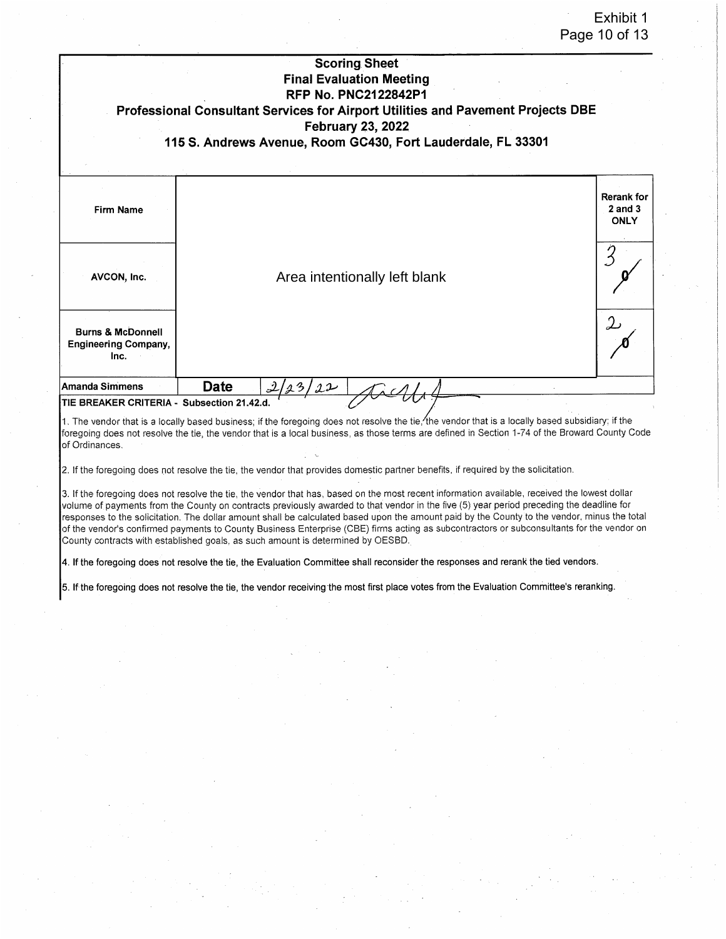### Exhibit 1 Page 10 of 13

|                                                                     | <b>Scoring Sheet</b><br><b>Final Evaluation Meeting</b><br><b>RFP No. PNC2122842P1</b><br>Professional Consultant Services for Airport Utilities and Pavement Projects DBE<br><b>February 23, 2022</b><br>115 S. Andrews Avenue, Room GC430, Fort Lauderdale, FL 33301 |                                                 |
|---------------------------------------------------------------------|------------------------------------------------------------------------------------------------------------------------------------------------------------------------------------------------------------------------------------------------------------------------|-------------------------------------------------|
| <b>Firm Name</b>                                                    |                                                                                                                                                                                                                                                                        | <b>Rerank for</b><br>$2$ and $3$<br><b>ONLY</b> |
| AVCON, Inc.                                                         | Area intentionally left blank                                                                                                                                                                                                                                          |                                                 |
| <b>Burns &amp; McDonnell</b><br><b>Engineering Company,</b><br>Inc. |                                                                                                                                                                                                                                                                        |                                                 |
| Amanda Simmens<br>TIE BREAKER CRITERIA - Subsection 21.42.d.        | <b>Date</b><br>اڪت<br>22<br>131                                                                                                                                                                                                                                        |                                                 |

1. The vendor that is a locally based business; if the foregoing does not resolve the tie, the vendor that is a locally based subsidiary; if the foregoing does not resolve the tie, the vendor that is a local business, as those terms are defined in Section 1-74 of the Broward County Code of Ordinances.

2. If the foregoing does not resolve the tie, the vendor that provides domestic partner benefits, if required by the solicitation.

3. If the foregoing does not resolve the tie, the vendor that has, based on the most recent information available, received the lowest dollar volume of payments from the County on contracts previously awarded to that vendor in the five (5) year period preceding the deadline for responses to the solicitation. The dollar amount shall be calculated based upon the amount paid by the County to the vendor, minus the total of the vendor's confirmed payments to County Business Enterprise (CBE) firms acting as subcontractors or subconsultants for the vendor on County contracts with established goals, as such amount is determined by OESBD.

4. If the foregoing does not resolve the tie, the Evaluation Committee shall reconsider the responses and rerank the tied vendors.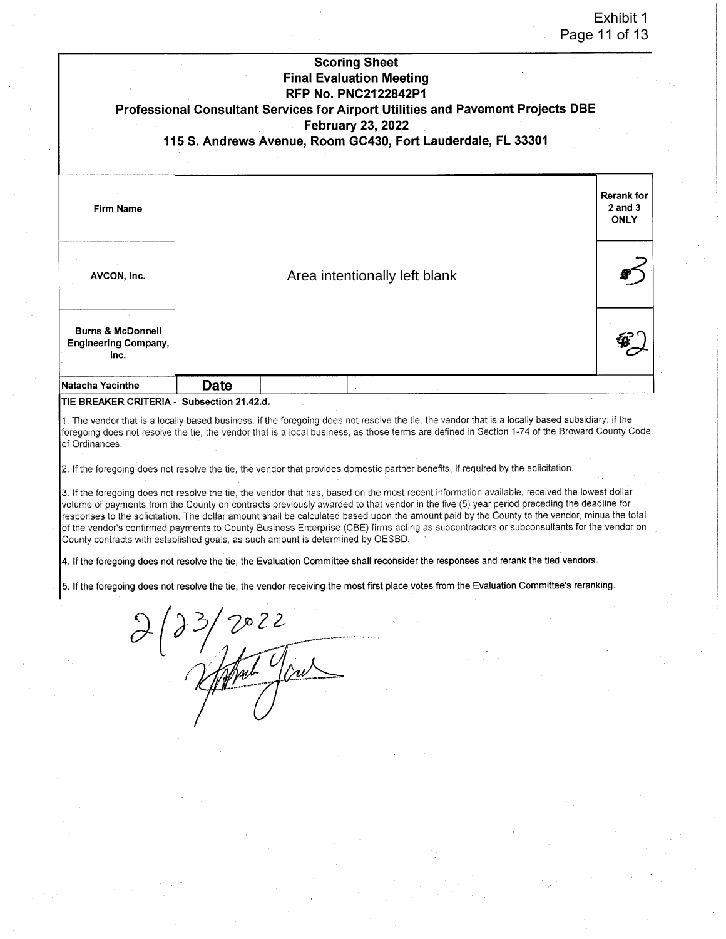#### Exhibit 1 Page 11 of 13

| <b>Scoring Sheet</b><br><b>Final Evaluation Meeting</b><br><b>RFP No. PNC2122842P1</b><br>Professional Consultant Services for Airport Utilities and Pavement Projects DBE<br><b>February 23, 2022</b><br>115 S. Andrews Avenue, Room GC430, Fort Lauderdale, FL 33301                                                                                                                                                                                                                                                                                                                                                                                                                                                                                                                                                                                                                                                                                                                                                                                                                            |             |                               |  |  |  |  |                                                 |  |
|---------------------------------------------------------------------------------------------------------------------------------------------------------------------------------------------------------------------------------------------------------------------------------------------------------------------------------------------------------------------------------------------------------------------------------------------------------------------------------------------------------------------------------------------------------------------------------------------------------------------------------------------------------------------------------------------------------------------------------------------------------------------------------------------------------------------------------------------------------------------------------------------------------------------------------------------------------------------------------------------------------------------------------------------------------------------------------------------------|-------------|-------------------------------|--|--|--|--|-------------------------------------------------|--|
| <b>Firm Name</b>                                                                                                                                                                                                                                                                                                                                                                                                                                                                                                                                                                                                                                                                                                                                                                                                                                                                                                                                                                                                                                                                                  |             |                               |  |  |  |  | <b>Rerank for</b><br>$2$ and $3$<br><b>ONLY</b> |  |
| AVCON, Inc.                                                                                                                                                                                                                                                                                                                                                                                                                                                                                                                                                                                                                                                                                                                                                                                                                                                                                                                                                                                                                                                                                       |             | Area intentionally left blank |  |  |  |  |                                                 |  |
| <b>Burns &amp; McDonnell</b><br><b>Engineering Company,</b><br>Inc.                                                                                                                                                                                                                                                                                                                                                                                                                                                                                                                                                                                                                                                                                                                                                                                                                                                                                                                                                                                                                               |             |                               |  |  |  |  |                                                 |  |
| <b>Natacha Yacinthe</b>                                                                                                                                                                                                                                                                                                                                                                                                                                                                                                                                                                                                                                                                                                                                                                                                                                                                                                                                                                                                                                                                           | <b>Date</b> |                               |  |  |  |  |                                                 |  |
| 2. If the foregoing does not resolve the tie, the vendor that provides domestic partner benefits, if required by the solicitation.<br>3. If the foregoing does not resolve the tie, the vendor that has, based on the most recent information available, received the lowest dollar<br>volume of payments from the County on contracts previously awarded to that vendor in the five (5) year period preceding the deadline for<br>responses to the solicitation. The dollar amount shall be calculated based upon the amount paid by the County to the vendor, minus the total<br>of the vendor's confirmed payments to County Business Enterprise (CBE) firms acting as subcontractors or subconsultants for the vendor on<br>County contracts with established goals, as such amount is determined by OESBD.<br>4. If the foregoing does not resolve the tie, the Evaluation Committee shall reconsider the responses and rerank the tied vendors.<br>5. If the foregoing does not resolve the tie, the vendor receiving the most first place votes from the Evaluation Committee's reranking. |             |                               |  |  |  |  |                                                 |  |
|                                                                                                                                                                                                                                                                                                                                                                                                                                                                                                                                                                                                                                                                                                                                                                                                                                                                                                                                                                                                                                                                                                   |             |                               |  |  |  |  |                                                 |  |
|                                                                                                                                                                                                                                                                                                                                                                                                                                                                                                                                                                                                                                                                                                                                                                                                                                                                                                                                                                                                                                                                                                   |             |                               |  |  |  |  |                                                 |  |
|                                                                                                                                                                                                                                                                                                                                                                                                                                                                                                                                                                                                                                                                                                                                                                                                                                                                                                                                                                                                                                                                                                   |             |                               |  |  |  |  |                                                 |  |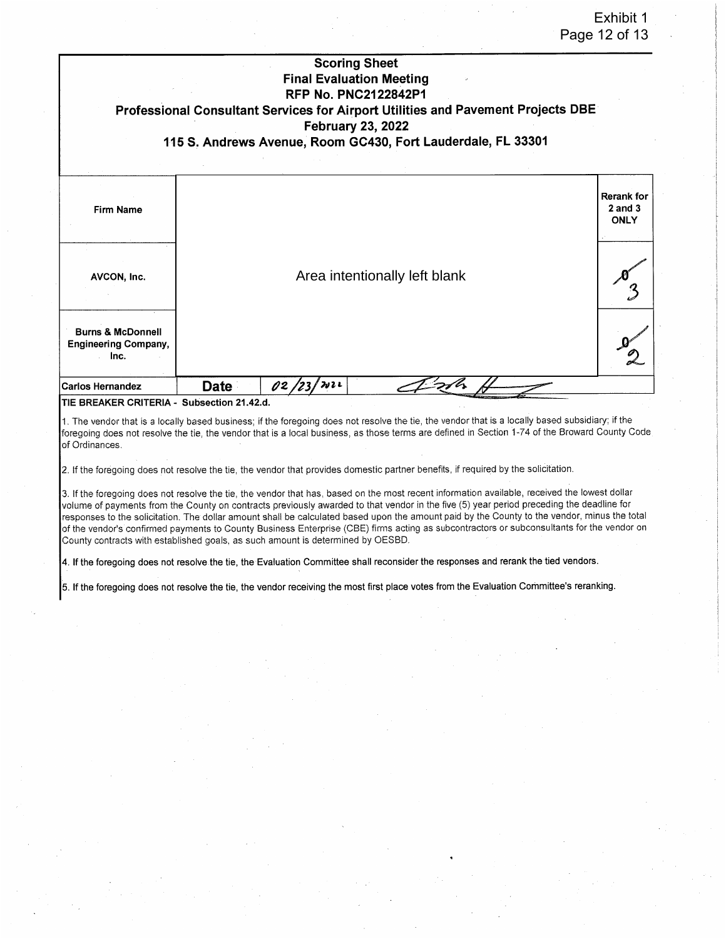# Exhibit 1 Page 12 of 13

|                                                                     | <b>Scoring Sheet</b><br><b>Final Evaluation Meeting</b><br><b>RFP No. PNC2122842P1</b><br>Professional Consultant Services for Airport Utilities and Pavement Projects DBE<br><b>February 23, 2022</b><br>115 S. Andrews Avenue, Room GC430, Fort Lauderdale, FL 33301 |                                                 |
|---------------------------------------------------------------------|------------------------------------------------------------------------------------------------------------------------------------------------------------------------------------------------------------------------------------------------------------------------|-------------------------------------------------|
| <b>Firm Name</b>                                                    |                                                                                                                                                                                                                                                                        | <b>Rerank for</b><br>$2$ and $3$<br><b>ONLY</b> |
| AVCON, Inc.                                                         | Area intentionally left blank                                                                                                                                                                                                                                          |                                                 |
| <b>Burns &amp; McDonnell</b><br><b>Engineering Company,</b><br>Inc. |                                                                                                                                                                                                                                                                        |                                                 |
| <b>Carlos Hernandez</b><br>TIE DOEAKED ADITEDIA                     | wz i<br><b>Date</b><br>02<br><b>Culturalized OA AO A</b>                                                                                                                                                                                                               |                                                 |

TIE BREAKER CRITERIA - Subsection 21.42.d.

1. The vendor that is a locally based business; if the foregoing does not resolve the tie, the vendor that is a locally based subsidiary; if the foregoing does not resolve the tie, the vendor that is a local business, as those terms are defined in Section 1-74 of the Broward County Code of Ordinances.

2. If the foregoing does not resolve the tie, the vendor that provides domestic partner benefits, if required by the solicitation.

3. If the foregoing does not resolve the tie, the vendor that has, based on the most recent information available, received the lowest dollar volume of payments from the County on contracts previously awarded to that vendor in the five (5) year period preceding the deadline for responses to the solicitation. The dollar amount shall be calculated based upon the amount paid by the County to the vendor, minus the total of the vendor's confirmed payments to County Business Enterprise (CBE) firms acting as subcontractors or subconsultants for the vendor on County contracts with established goals, as such amount is determined by OESBD.

4. If the foregoing does not resolve the tie, the Evaluation Committee shall reconsider the responses and rerank the tied vendors.